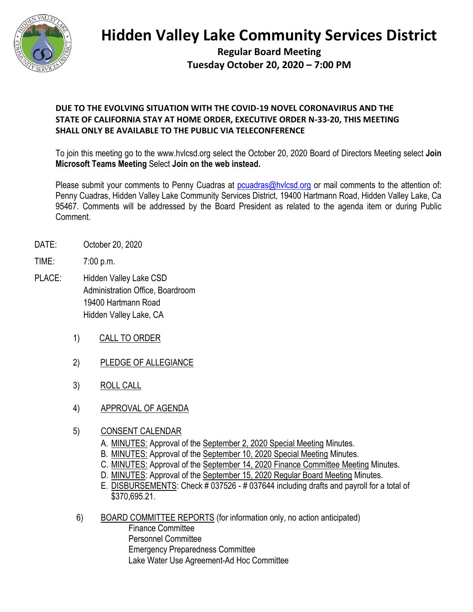

# **Hidden Valley Lake Community Services District**

**Regular Board Meeting Tuesday October 20, 2020 – 7:00 PM**

## **DUE TO THE EVOLVING SITUATION WITH THE COVID-19 NOVEL CORONAVIRUS AND THE STATE OF CALIFORNIA STAY AT HOME ORDER, EXECUTIVE ORDER N-33-20, THIS MEETING SHALL ONLY BE AVAILABLE TO THE PUBLIC VIA TELECONFERENCE**

To join this meeting go to the www.hvlcsd.org select the October 20, 2020 Board of Directors Meeting select **Join Microsoft Teams Meeting** Select **Join on the web instead.**

Please submit your comments to Penny Cuadras at [pcuadras@hvlcsd.org](mailto:pcuadras@hvlcsd.org) or mail comments to the attention of: Penny Cuadras, Hidden Valley Lake Community Services District, 19400 Hartmann Road, Hidden Valley Lake, Ca 95467. Comments will be addressed by the Board President as related to the agenda item or during Public Comment.

- DATE: October 20, 2020
- TIME: 7:00 p.m.
- PLACE: Hidden Valley Lake CSD Administration Office, Boardroom 19400 Hartmann Road Hidden Valley Lake, CA
	- 1) CALL TO ORDER
	- 2) PLEDGE OF ALLEGIANCE
	- 3) ROLL CALL
	- 4) APPROVAL OF AGENDA
	- 5) CONSENT CALENDAR
		- A. MINUTES: Approval of the September 2, 2020 Special Meeting Minutes.
		- B. MINUTES: Approval of the September 10, 2020 Special Meeting Minutes.
		- C. MINUTES: Approval of the September 14, 2020 Finance Committee Meeting Minutes.
		- D. MINUTES: Approval of the September 15, 2020 Regular Board Meeting Minutes.
		- E. DISBURSEMENTS: Check # 037526 # 037644 including drafts and payroll for a total of \$370,695.21.
	- 6) BOARD COMMITTEE REPORTS (for information only, no action anticipated) Finance Committee Personnel Committee Emergency Preparedness Committee Lake Water Use Agreement-Ad Hoc Committee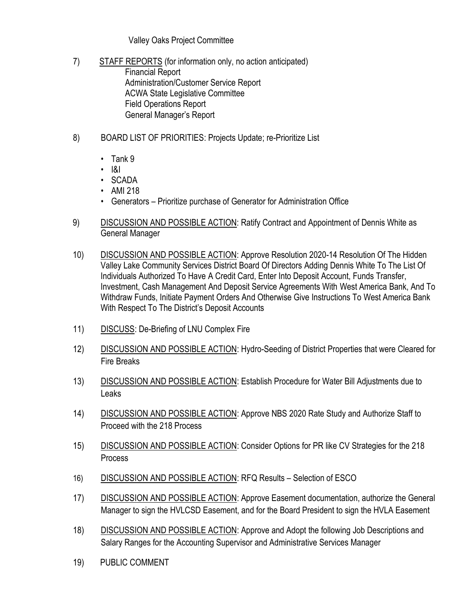### Valley Oaks Project Committee

- 7) STAFF REPORTS (for information only, no action anticipated) Financial Report Administration/Customer Service Report ACWA State Legislative Committee Field Operations Report General Manager's Report
- 8) BOARD LIST OF PRIORITIES: Projects Update; re-Prioritize List
	- Tank 9
	- I&I
	- SCADA
	- AMI 218
	- Generators Prioritize purchase of Generator for Administration Office
- 9) DISCUSSION AND POSSIBLE ACTION: Ratify Contract and Appointment of Dennis White as General Manager
- 10) DISCUSSION AND POSSIBLE ACTION: Approve Resolution 2020-14 Resolution Of The Hidden Valley Lake Community Services District Board Of Directors Adding Dennis White To The List Of Individuals Authorized To Have A Credit Card, Enter Into Deposit Account, Funds Transfer, Investment, Cash Management And Deposit Service Agreements With West America Bank, And To Withdraw Funds, Initiate Payment Orders And Otherwise Give Instructions To West America Bank With Respect To The District's Deposit Accounts
- 11) DISCUSS: De-Briefing of LNU Complex Fire
- 12) DISCUSSION AND POSSIBLE ACTION: Hydro-Seeding of District Properties that were Cleared for Fire Breaks
- 13) DISCUSSION AND POSSIBLE ACTION: Establish Procedure for Water Bill Adjustments due to Leaks
- 14) DISCUSSION AND POSSIBLE ACTION: Approve NBS 2020 Rate Study and Authorize Staff to Proceed with the 218 Process
- 15) DISCUSSION AND POSSIBLE ACTION: Consider Options for PR like CV Strategies for the 218 **Process**
- 16) DISCUSSION AND POSSIBLE ACTION: RFQ Results Selection of ESCO
- 17) DISCUSSION AND POSSIBLE ACTION: Approve Easement documentation, authorize the General Manager to sign the HVLCSD Easement, and for the Board President to sign the HVLA Easement
- 18) DISCUSSION AND POSSIBLE ACTION: Approve and Adopt the following Job Descriptions and Salary Ranges for the Accounting Supervisor and Administrative Services Manager
- 19) PUBLIC COMMENT